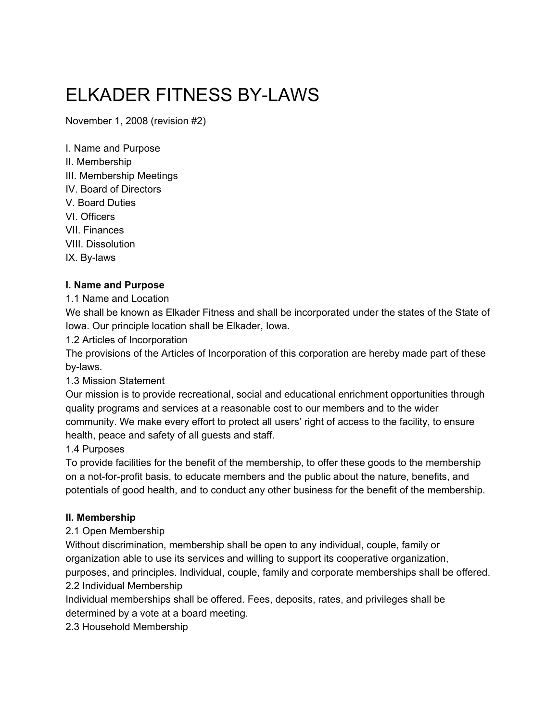# ELKADER FITNESS BYLAWS

November 1, 2008 (revision #2)

I. Name and Purpose II. Membership III. Membership Meetings IV. Board of Directors V. Board Duties VI. Officers VII. Finances VIII. Dissolution IX. By-laws

#### **I. Name and Purpose**

1.1 Name and Location

We shall be known as Elkader Fitness and shall be incorporated under the states of the State of Iowa. Our principle location shall be Elkader, Iowa.

1.2 Articles of Incorporation

The provisions of the Articles of Incorporation of this corporation are hereby made part of these by-laws.

#### 1.3 Mission Statement

Our mission is to provide recreational, social and educational enrichment opportunities through quality programs and services at a reasonable cost to our members and to the wider community. We make every effort to protect all users' right of access to the facility, to ensure health, peace and safety of all guests and staff.

## 1.4 Purposes

To provide facilities for the benefit of the membership, to offer these goods to the membership on a not-for-profit basis, to educate members and the public about the nature, benefits, and potentials of good health, and to conduct any other business for the benefit of the membership.

#### **II. Membership**

#### 2.1 Open Membership

Without discrimination, membership shall be open to any individual, couple, family or organization able to use its services and willing to support its cooperative organization,

purposes, and principles. Individual, couple, family and corporate memberships shall be offered. 2.2 Individual Membership

Individual memberships shall be offered. Fees, deposits, rates, and privileges shall be determined by a vote at a board meeting.

2.3 Household Membership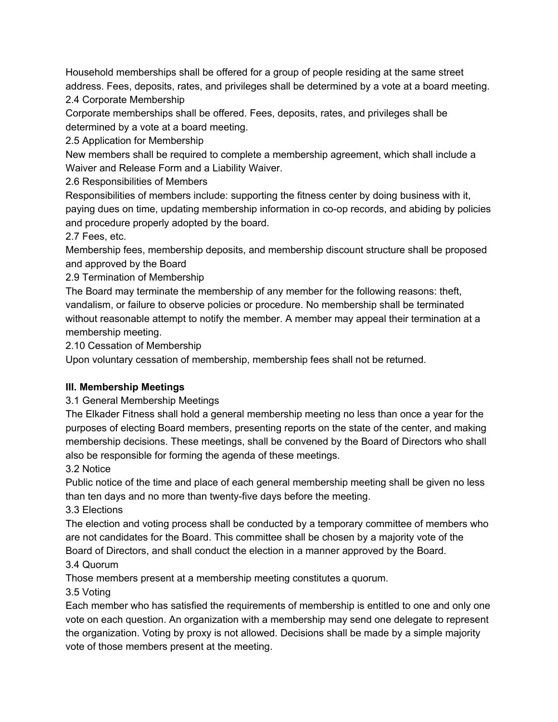Household memberships shall be offered for a group of people residing at the same street address. Fees, deposits, rates, and privileges shall be determined by a vote at a board meeting.

2.4 Corporate Membership

Corporate memberships shall be offered. Fees, deposits, rates, and privileges shall be determined by a vote at a board meeting.

2.5 Application for Membership

New members shall be required to complete a membership agreement, which shall include a Waiver and Release Form and a Liability Waiver.

2.6 Responsibilities of Members

Responsibilities of members include: supporting the fitness center by doing business with it, paying dues on time, updating membership information in co-op records, and abiding by policies and procedure properly adopted by the board.

2.7 Fees, etc.

Membership fees, membership deposits, and membership discount structure shall be proposed and approved by the Board

2.9 Termination of Membership

The Board may terminate the membership of any member for the following reasons: theft, vandalism, or failure to observe policies or procedure. No membership shall be terminated without reasonable attempt to notify the member. A member may appeal their termination at a membership meeting.

2.10 Cessation of Membership

Upon voluntary cessation of membership, membership fees shall not be returned.

#### **III. Membership Meetings**

3.1 General Membership Meetings

The Elkader Fitness shall hold a general membership meeting no less than once a year for the purposes of electing Board members, presenting reports on the state of the center, and making membership decisions. These meetings, shall be convened by the Board of Directors who shall also be responsible for forming the agenda of these meetings.

3.2 Notice

Public notice of the time and place of each general membership meeting shall be given no less than ten days and no more than twenty-five days before the meeting.

3.3 Elections

The election and voting process shall be conducted by a temporary committee of members who are not candidates for the Board. This committee shall be chosen by a majority vote of the Board of Directors, and shall conduct the election in a manner approved by the Board.

3.4 Quorum

Those members present at a membership meeting constitutes a quorum.

3.5 Voting

Each member who has satisfied the requirements of membership is entitled to one and only one vote on each question. An organization with a membership may send one delegate to represent the organization. Voting by proxy is not allowed. Decisions shall be made by a simple majority vote of those members present at the meeting.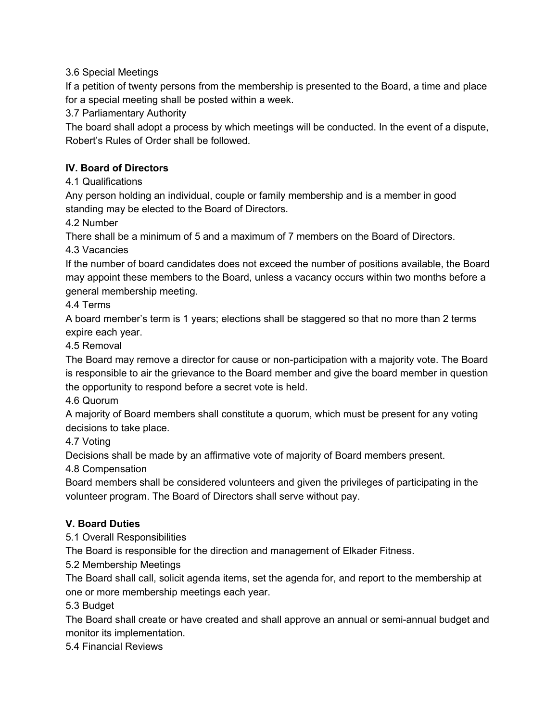3.6 Special Meetings

If a petition of twenty persons from the membership is presented to the Board, a time and place for a special meeting shall be posted within a week.

3.7 Parliamentary Authority

The board shall adopt a process by which meetings will be conducted. In the event of a dispute, Robert's Rules of Order shall be followed.

## **IV. Board of Directors**

4.1 Qualifications

Any person holding an individual, couple or family membership and is a member in good standing may be elected to the Board of Directors.

4.2 Number

There shall be a minimum of 5 and a maximum of 7 members on the Board of Directors.

4.3 Vacancies

If the number of board candidates does not exceed the number of positions available, the Board may appoint these members to the Board, unless a vacancy occurs within two months before a general membership meeting.

4.4 Terms

A board member's term is 1 years; elections shall be staggered so that no more than 2 terms expire each year.

#### 4.5 Removal

The Board may remove a director for cause or non-participation with a majority vote. The Board is responsible to air the grievance to the Board member and give the board member in question the opportunity to respond before a secret vote is held.

4.6 Quorum

A majority of Board members shall constitute a quorum, which must be present for any voting decisions to take place.

4.7 Voting

Decisions shall be made by an affirmative vote of majority of Board members present.

4.8 Compensation

Board members shall be considered volunteers and given the privileges of participating in the volunteer program. The Board of Directors shall serve without pay.

## **V. Board Duties**

5.1 Overall Responsibilities

The Board is responsible for the direction and management of Elkader Fitness.

5.2 Membership Meetings

The Board shall call, solicit agenda items, set the agenda for, and report to the membership at one or more membership meetings each year.

5.3 Budget

The Board shall create or have created and shall approve an annual or semi-annual budget and monitor its implementation.

5.4 Financial Reviews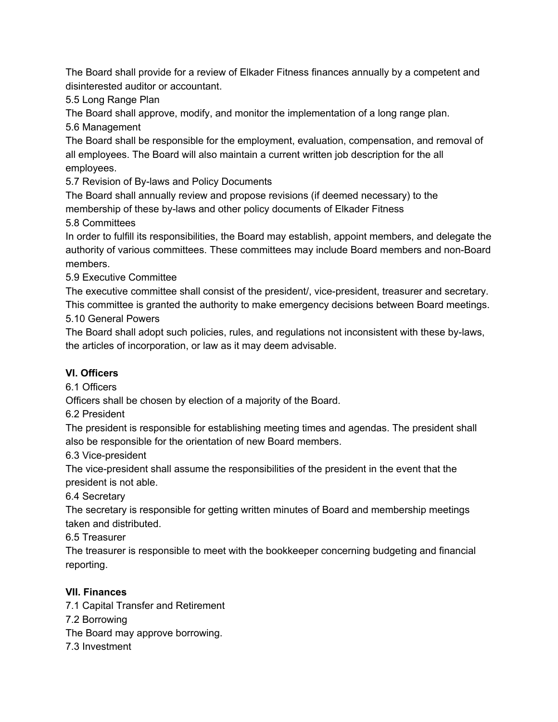The Board shall provide for a review of Elkader Fitness finances annually by a competent and disinterested auditor or accountant.

5.5 Long Range Plan

The Board shall approve, modify, and monitor the implementation of a long range plan. 5.6 Management

The Board shall be responsible for the employment, evaluation, compensation, and removal of all employees. The Board will also maintain a current written job description for the all employees.

5.7 Revision of By-laws and Policy Documents

The Board shall annually review and propose revisions (if deemed necessary) to the membership of these by-laws and other policy documents of Elkader Fitness

5.8 Committees

In order to fulfill its responsibilities, the Board may establish, appoint members, and delegate the authority of various committees. These committees may include Board members and non-Board members.

5.9 Executive Committee

The executive committee shall consist of the president/, vice-president, treasurer and secretary. This committee is granted the authority to make emergency decisions between Board meetings. 5.10 General Powers

The Board shall adopt such policies, rules, and regulations not inconsistent with these by-laws, the articles of incorporation, or law as it may deem advisable.

# **VI. Officers**

6.1 Officers

Officers shall be chosen by election of a majority of the Board.

6.2 President

The president is responsible for establishing meeting times and agendas. The president shall also be responsible for the orientation of new Board members.

6.3 Vice-president

The vice-president shall assume the responsibilities of the president in the event that the president is not able.

# 6.4 Secretary

The secretary is responsible for getting written minutes of Board and membership meetings taken and distributed.

6.5 Treasurer

The treasurer is responsible to meet with the bookkeeper concerning budgeting and financial reporting.

# **VII. Finances**

7.1 Capital Transfer and Retirement

7.2 Borrowing

The Board may approve borrowing.

7.3 Investment